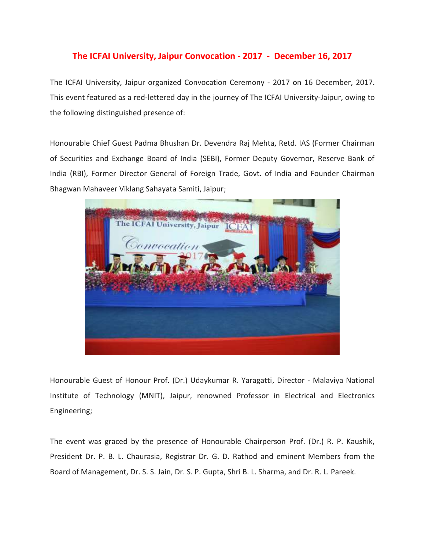## **The ICFAI University, Jaipur Convocation - 2017 - December 16, 2017**

The ICFAI University, Jaipur organized Convocation Ceremony - 2017 on 16 December, 2017. This event featured as a red-lettered day in the journey of The ICFAI University-Jaipur, owing to the following distinguished presence of:

Honourable Chief Guest Padma Bhushan Dr. Devendra Raj Mehta, Retd. IAS (Former Chairman of Securities and Exchange Board of India (SEBI), Former Deputy Governor, Reserve Bank of India (RBI), Former Director General of Foreign Trade, Govt. of India and Founder Chairman Bhagwan Mahaveer Viklang Sahayata Samiti, Jaipur;



Honourable Guest of Honour Prof. (Dr.) Udaykumar R. Yaragatti, Director - Malaviya National Institute of Technology (MNIT), Jaipur, renowned Professor in Electrical and Electronics Engineering;

The event was graced by the presence of Honourable Chairperson Prof. (Dr.) R. P. Kaushik, President Dr. P. B. L. Chaurasia, Registrar Dr. G. D. Rathod and eminent Members from the Board of Management, Dr. S. S. Jain, Dr. S. P. Gupta, Shri B. L. Sharma, and Dr. R. L. Pareek.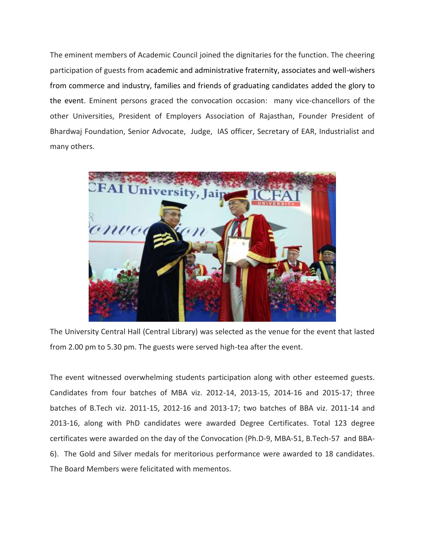The eminent members of Academic Council joined the dignitaries for the function. The cheering participation of guests from academic and administrative fraternity, associates and well-wishers from commerce and industry, families and friends of graduating candidates added the glory to the event. Eminent persons graced the convocation occasion: many vice-chancellors of the other Universities, President of Employers Association of Rajasthan, Founder President of Bhardwaj Foundation, Senior Advocate, Judge, IAS officer, Secretary of EAR, Industrialist and many others.



The University Central Hall (Central Library) was selected as the venue for the event that lasted from 2.00 pm to 5.30 pm. The guests were served high-tea after the event.

The event witnessed overwhelming students participation along with other esteemed guests. Candidates from four batches of MBA viz. 2012-14, 2013-15, 2014-16 and 2015-17; three batches of B.Tech viz. 2011-15, 2012-16 and 2013-17; two batches of BBA viz. 2011-14 and 2013-16, along with PhD candidates were awarded Degree Certificates. Total 123 degree certificates were awarded on the day of the Convocation (Ph.D-9, MBA-51, B.Tech-57 and BBA-6). The Gold and Silver medals for meritorious performance were awarded to 18 candidates. The Board Members were felicitated with mementos.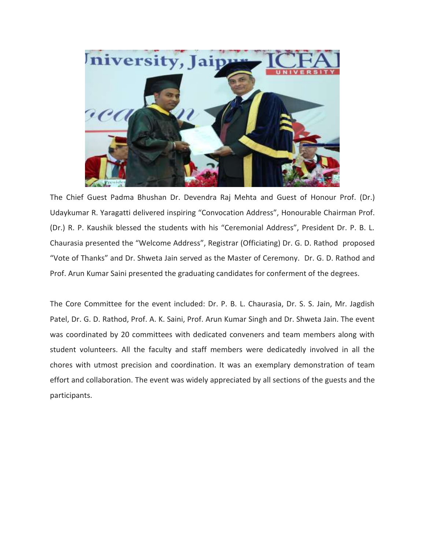

The Chief Guest Padma Bhushan Dr. Devendra Raj Mehta and Guest of Honour Prof. (Dr.) Udaykumar R. Yaragatti delivered inspiring "Convocation Address", Honourable Chairman Prof. (Dr.) R. P. Kaushik blessed the students with his "Ceremonial Address", President Dr. P. B. L. Chaurasia presented the "Welcome Address", Registrar (Officiating) Dr. G. D. Rathod proposed "Vote of Thanks" and Dr. Shweta Jain served as the Master of Ceremony. Dr. G. D. Rathod and Prof. Arun Kumar Saini presented the graduating candidates for conferment of the degrees.

The Core Committee for the event included: Dr. P. B. L. Chaurasia, Dr. S. S. Jain, Mr. Jagdish Patel, Dr. G. D. Rathod, Prof. A. K. Saini, Prof. Arun Kumar Singh and Dr. Shweta Jain. The event was coordinated by 20 committees with dedicated conveners and team members along with student volunteers. All the faculty and staff members were dedicatedly involved in all the chores with utmost precision and coordination. It was an exemplary demonstration of team effort and collaboration. The event was widely appreciated by all sections of the guests and the participants.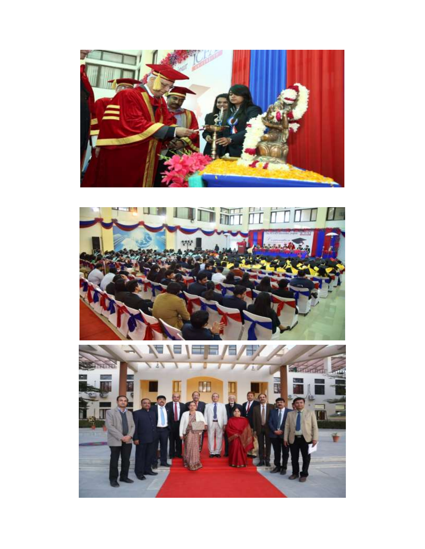

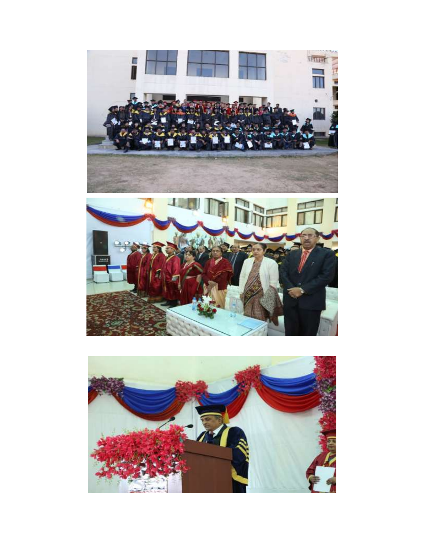

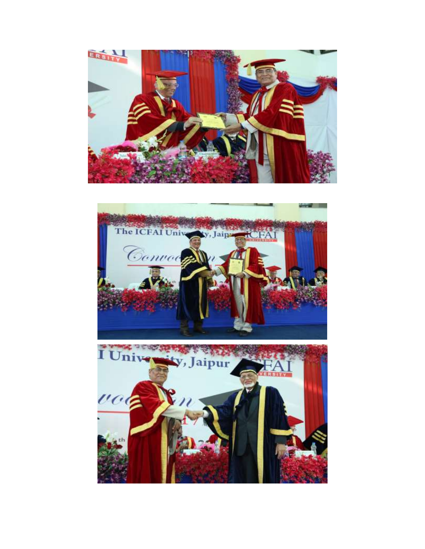



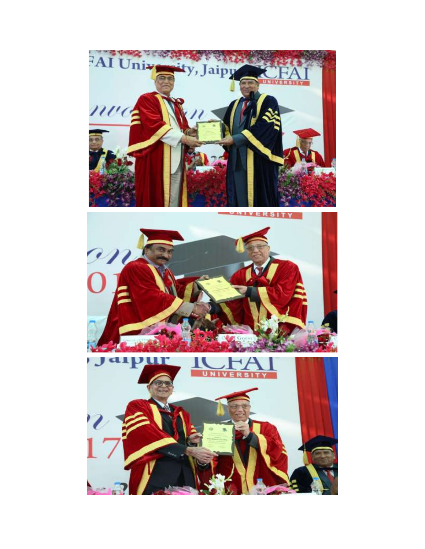



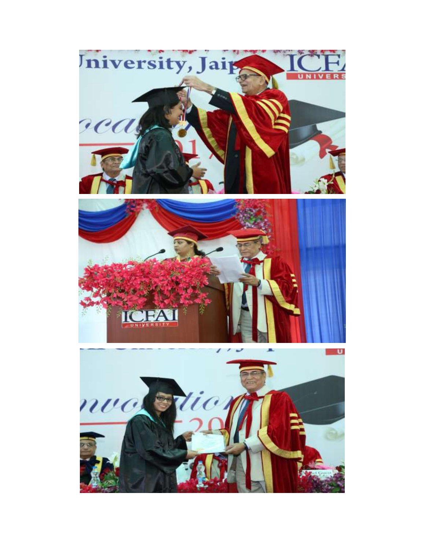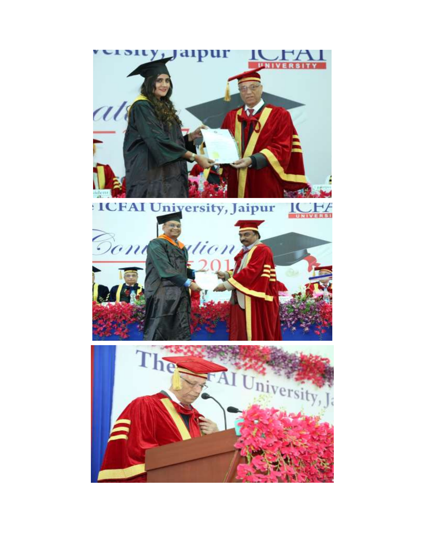![](_page_8_Picture_0.jpeg)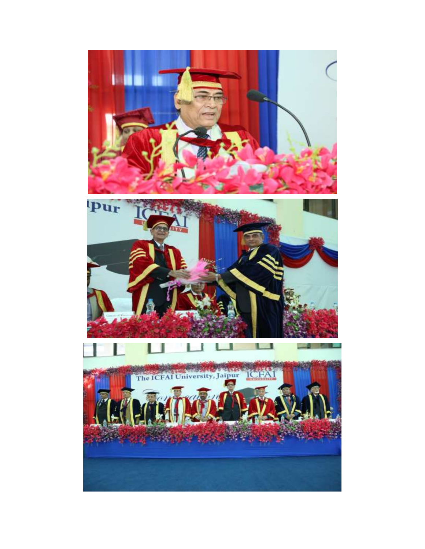![](_page_9_Picture_0.jpeg)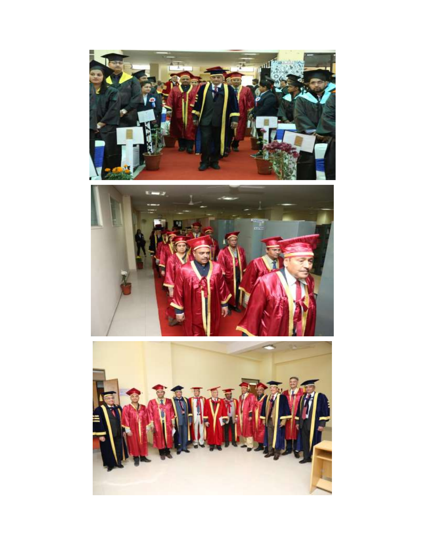![](_page_10_Picture_0.jpeg)

![](_page_10_Picture_1.jpeg)

![](_page_10_Picture_2.jpeg)